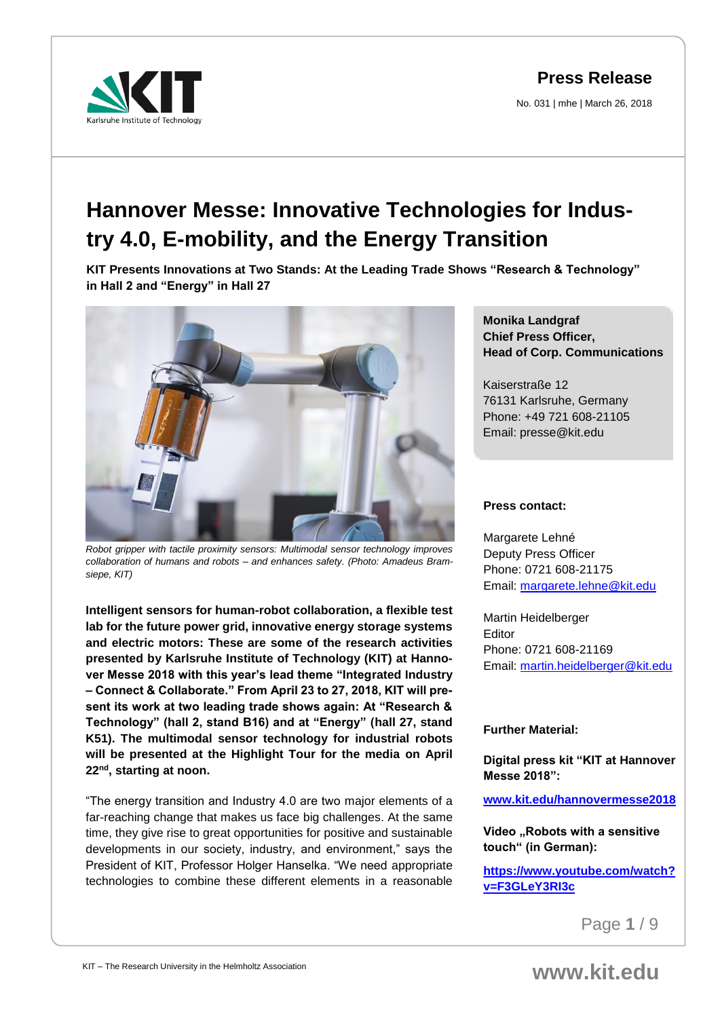No. 031 | mhe | March 26, 2018



# **Hannover Messe: Innovative Technologies for Industry 4.0, E-mobility, and the Energy Transition**

**KIT Presents Innovations at Two Stands: At the Leading Trade Shows "Research & Technology" in Hall 2 and "Energy" in Hall 27**



*Robot gripper with tactile proximity sensors: Multimodal sensor technology improves collaboration of humans and robots – and enhances safety. (Photo: Amadeus Bramsiepe, KIT)*

**Intelligent sensors for human-robot collaboration, a flexible test lab for the future power grid, innovative energy storage systems and electric motors: These are some of the research activities presented by Karlsruhe Institute of Technology (KIT) at Hannover Messe 2018 with this year's lead theme "Integrated Industry – Connect & Collaborate." From April 23 to 27, 2018, KIT will present its work at two leading trade shows again: At "Research & Technology" (hall 2, stand B16) and at "Energy" (hall 27, stand K51). The multimodal sensor technology for industrial robots will be presented at the Highlight Tour for the media on April 22nd , starting at noon.**

"The energy transition and Industry 4.0 are two major elements of a far-reaching change that makes us face big challenges. At the same time, they give rise to great opportunities for positive and sustainable developments in our society, industry, and environment," says the President of KIT, Professor Holger Hanselka. "We need appropriate technologies to combine these different elements in a reasonable

#### **Monika Landgraf Chief Press Officer, Head of Corp. Communications**

Kaiserstraße 12 76131 Karlsruhe, Germany Phone: +49 721 608-21105 Email: presse@kit.edu

#### **Press contact:**

Margarete Lehné Deputy Press Officer Phone: 0721 608-21175 Email: [margarete.lehne@kit.edu](mailto:margarete.lehne@kit.edu)

Martin Heidelberger Editor Phone: 0721 608-21169 Email: [martin.heidelberger@kit.edu](mailto:martin.heidelberger@kit.edu)

#### **Further Material:**

**Digital press kit "KIT at Hannover Messe 2018":**

**[www.kit.edu/hannovermesse2018](http://www.kit.edu/hannovermesse2018)**

**Video "Robots with a sensitive touch" (in German):** 

**[https://www.youtube.com/watch?](https://www.youtube.com/watch?v=F3GLeY3RI3c) [v=F3GLeY3RI3c](https://www.youtube.com/watch?v=F3GLeY3RI3c)**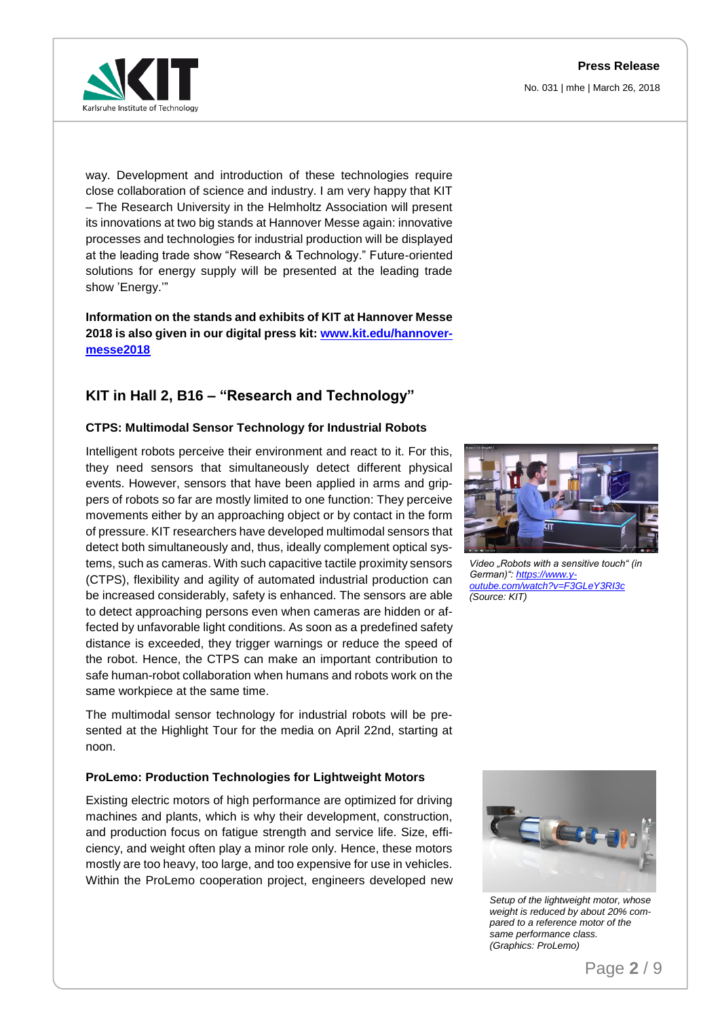**Press Release** No. 031 | mhe | March 26, 2018



way. Development and introduction of these technologies require close collaboration of science and industry. I am very happy that KIT – The Research University in the Helmholtz Association will present its innovations at two big stands at Hannover Messe again: innovative processes and technologies for industrial production will be displayed at the leading trade show "Research & Technology." Future-oriented solutions for energy supply will be presented at the leading trade show 'Energy.'"

**Information on the stands and exhibits of KIT at Hannover Messe 2018 is also given in our digital press kit: [www.kit.edu/hannover](http://www.kit.edu/hannovermesse2018)[messe2018](http://www.kit.edu/hannovermesse2018)**

## **KIT in Hall 2, B16 – "Research and Technology"**

#### **CTPS: Multimodal Sensor Technology for Industrial Robots**

Intelligent robots perceive their environment and react to it. For this, they need sensors that simultaneously detect different physical events. However, sensors that have been applied in arms and grippers of robots so far are mostly limited to one function: They perceive movements either by an approaching object or by contact in the form of pressure. KIT researchers have developed multimodal sensors that detect both simultaneously and, thus, ideally complement optical systems, such as cameras. With such capacitive tactile proximity sensors (CTPS), flexibility and agility of automated industrial production can be increased considerably, safety is enhanced. The sensors are able to detect approaching persons even when cameras are hidden or affected by unfavorable light conditions. As soon as a predefined safety distance is exceeded, they trigger warnings or reduce the speed of the robot. Hence, the CTPS can make an important contribution to safe human-robot collaboration when humans and robots work on the same workpiece at the same time.

The multimodal sensor technology for industrial robots will be presented at the Highlight Tour for the media on April 22nd, starting at noon.

#### **ProLemo: Production Technologies for Lightweight Motors**

Existing electric motors of high performance are optimized for driving machines and plants, which is why their development, construction, and production focus on fatigue strength and service life. Size, efficiency, and weight often play a minor role only. Hence, these motors mostly are too heavy, too large, and too expensive for use in vehicles. Within the ProLemo cooperation project, engineers developed new



*Video "Robots with a sensitive touch" (in German)": [https://www.y](https://www.youtube.com/watch?v=F3GLeY3RI3c)[outube.com/watch?v=F3GLeY3RI3c](https://www.youtube.com/watch?v=F3GLeY3RI3c) (Source: KIT)* 



*Setup of the lightweight motor, whose weight is reduced by about 20% compared to a reference motor of the same performance class. (Graphics: ProLemo)*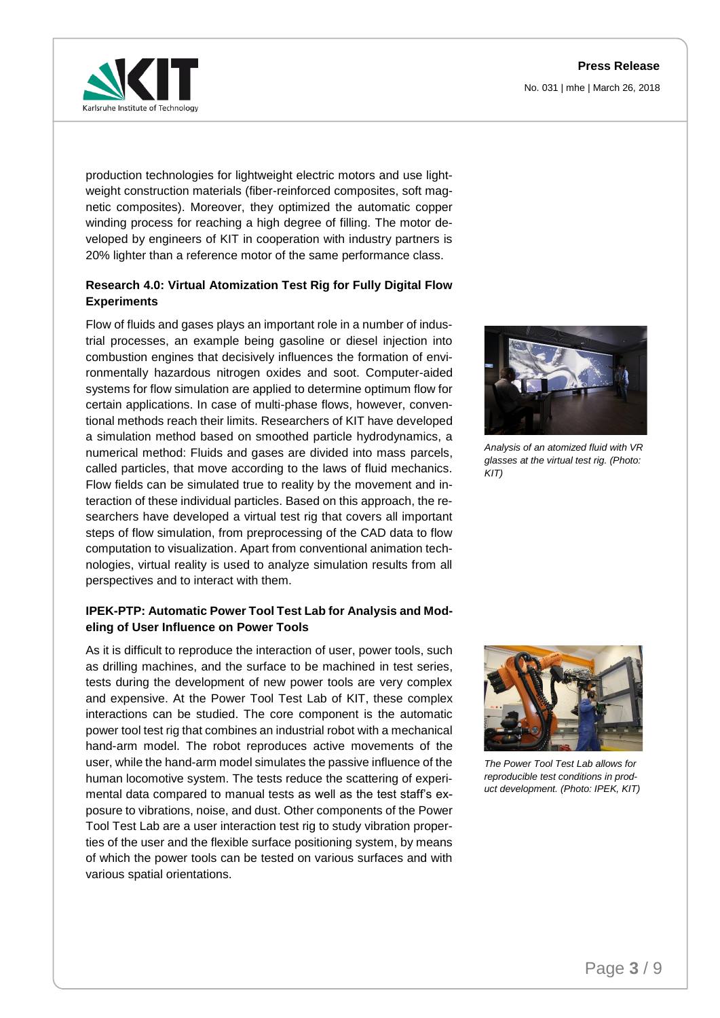No. 031 | mhe | March 26, 2018



production technologies for lightweight electric motors and use lightweight construction materials (fiber-reinforced composites, soft magnetic composites). Moreover, they optimized the automatic copper winding process for reaching a high degree of filling. The motor developed by engineers of KIT in cooperation with industry partners is 20% lighter than a reference motor of the same performance class.

#### **Research 4.0: Virtual Atomization Test Rig for Fully Digital Flow Experiments**

Flow of fluids and gases plays an important role in a number of industrial processes, an example being gasoline or diesel injection into combustion engines that decisively influences the formation of environmentally hazardous nitrogen oxides and soot. Computer-aided systems for flow simulation are applied to determine optimum flow for certain applications. In case of multi-phase flows, however, conventional methods reach their limits. Researchers of KIT have developed a simulation method based on smoothed particle hydrodynamics, a numerical method: Fluids and gases are divided into mass parcels, called particles, that move according to the laws of fluid mechanics. Flow fields can be simulated true to reality by the movement and interaction of these individual particles. Based on this approach, the researchers have developed a virtual test rig that covers all important steps of flow simulation, from preprocessing of the CAD data to flow computation to visualization. Apart from conventional animation technologies, virtual reality is used to analyze simulation results from all perspectives and to interact with them.

#### **IPEK-PTP: Automatic Power Tool Test Lab for Analysis and Modeling of User Influence on Power Tools**

As it is difficult to reproduce the interaction of user, power tools, such as drilling machines, and the surface to be machined in test series, tests during the development of new power tools are very complex and expensive. At the Power Tool Test Lab of KIT, these complex interactions can be studied. The core component is the automatic power tool test rig that combines an industrial robot with a mechanical hand-arm model. The robot reproduces active movements of the user, while the hand-arm model simulates the passive influence of the human locomotive system. The tests reduce the scattering of experimental data compared to manual tests as well as the test staff's exposure to vibrations, noise, and dust. Other components of the Power Tool Test Lab are a user interaction test rig to study vibration properties of the user and the flexible surface positioning system, by means of which the power tools can be tested on various surfaces and with various spatial orientations.



*Analysis of an atomized fluid with VR glasses at the virtual test rig. (Photo: KIT)*



*The Power Tool Test Lab allows for reproducible test conditions in product development. (Photo: IPEK, KIT)*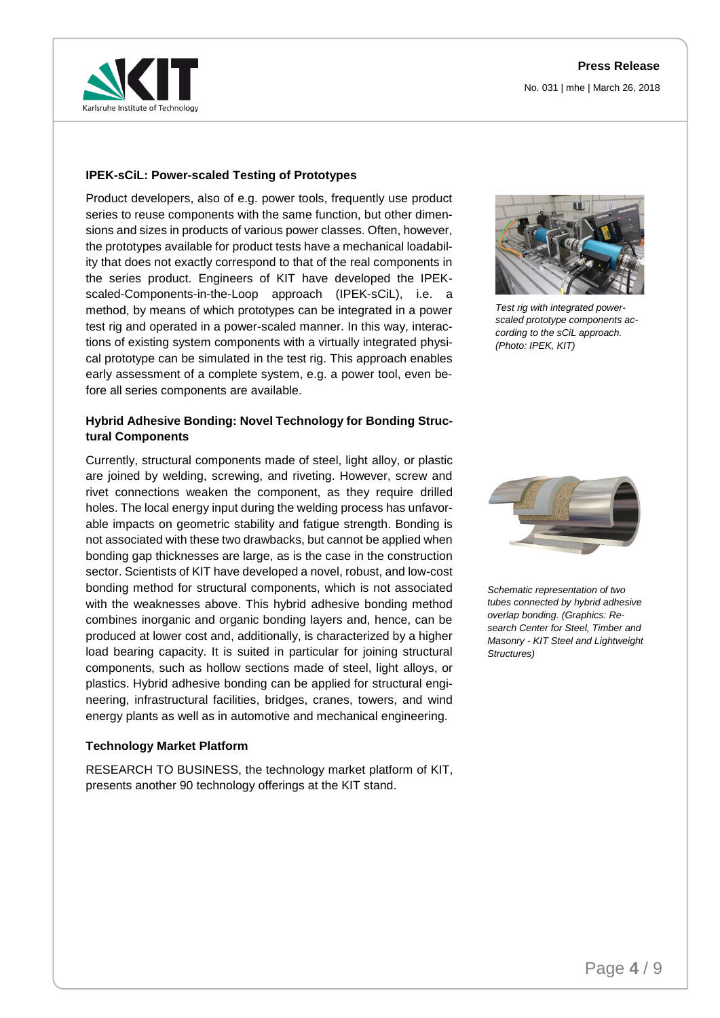



#### **IPEK-sCiL: Power-scaled Testing of Prototypes**

Product developers, also of e.g. power tools, frequently use product series to reuse components with the same function, but other dimensions and sizes in products of various power classes. Often, however, the prototypes available for product tests have a mechanical loadability that does not exactly correspond to that of the real components in the series product. Engineers of KIT have developed the IPEKscaled-Components-in-the-Loop approach (IPEK-sCiL), i.e. a method, by means of which prototypes can be integrated in a power test rig and operated in a power-scaled manner. In this way, interactions of existing system components with a virtually integrated physical prototype can be simulated in the test rig. This approach enables early assessment of a complete system, e.g. a power tool, even before all series components are available.

#### **Hybrid Adhesive Bonding: Novel Technology for Bonding Structural Components**

Currently, structural components made of steel, light alloy, or plastic are joined by welding, screwing, and riveting. However, screw and rivet connections weaken the component, as they require drilled holes. The local energy input during the welding process has unfavorable impacts on geometric stability and fatigue strength. Bonding is not associated with these two drawbacks, but cannot be applied when bonding gap thicknesses are large, as is the case in the construction sector. Scientists of KIT have developed a novel, robust, and low-cost bonding method for structural components, which is not associated with the weaknesses above. This hybrid adhesive bonding method combines inorganic and organic bonding layers and, hence, can be produced at lower cost and, additionally, is characterized by a higher load bearing capacity. It is suited in particular for joining structural components, such as hollow sections made of steel, light alloys, or plastics. Hybrid adhesive bonding can be applied for structural engineering, infrastructural facilities, bridges, cranes, towers, and wind energy plants as well as in automotive and mechanical engineering.

#### **Technology Market Platform**

RESEARCH TO BUSINESS, the technology market platform of KIT, presents another 90 technology offerings at the KIT stand.



*Test rig with integrated powerscaled prototype components according to the sCiL approach. (Photo: IPEK, KIT)*



*Schematic representation of two tubes connected by hybrid adhesive overlap bonding. (Graphics: Research Center for Steel, Timber and Masonry - KIT Steel and Lightweight Structures)*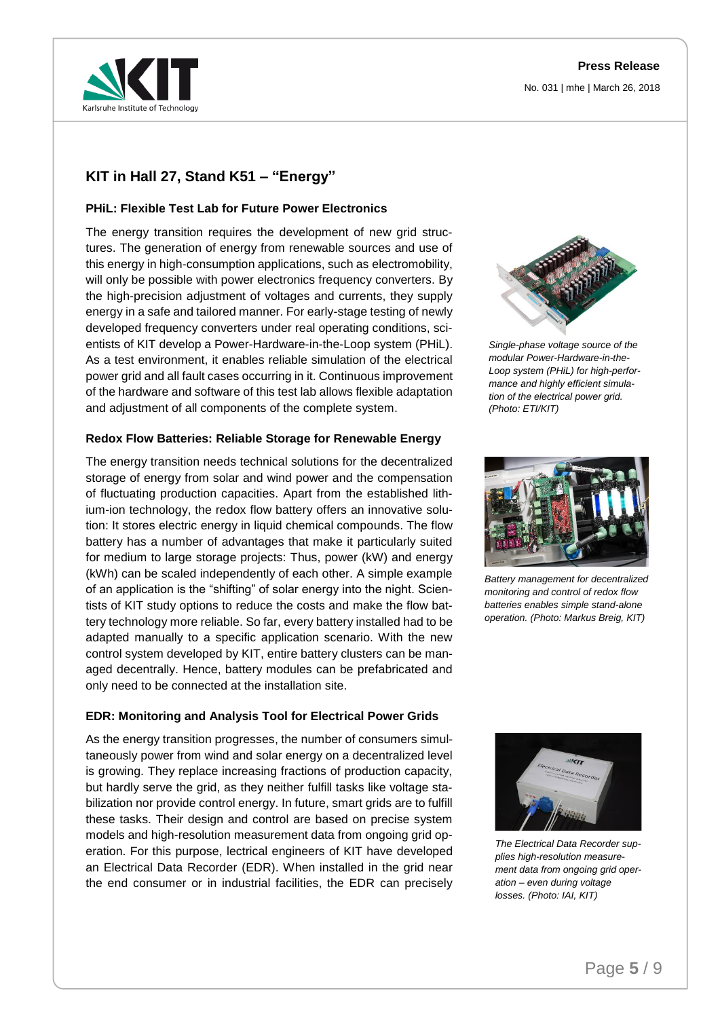

## **KIT in Hall 27, Stand K51 – "Energy"**

#### **PHiL: Flexible Test Lab for Future Power Electronics**

The energy transition requires the development of new grid structures. The generation of energy from renewable sources and use of this energy in high-consumption applications, such as electromobility, will only be possible with power electronics frequency converters. By the high-precision adjustment of voltages and currents, they supply energy in a safe and tailored manner. For early-stage testing of newly developed frequency converters under real operating conditions, scientists of KIT develop a Power-Hardware-in-the-Loop system (PHiL). As a test environment, it enables reliable simulation of the electrical power grid and all fault cases occurring in it. Continuous improvement of the hardware and software of this test lab allows flexible adaptation and adjustment of all components of the complete system.

#### **Redox Flow Batteries: Reliable Storage for Renewable Energy**

The energy transition needs technical solutions for the decentralized storage of energy from solar and wind power and the compensation of fluctuating production capacities. Apart from the established lithium-ion technology, the redox flow battery offers an innovative solution: It stores electric energy in liquid chemical compounds. The flow battery has a number of advantages that make it particularly suited for medium to large storage projects: Thus, power (kW) and energy (kWh) can be scaled independently of each other. A simple example of an application is the "shifting" of solar energy into the night. Scientists of KIT study options to reduce the costs and make the flow battery technology more reliable. So far, every battery installed had to be adapted manually to a specific application scenario. With the new control system developed by KIT, entire battery clusters can be managed decentrally. Hence, battery modules can be prefabricated and only need to be connected at the installation site.

#### **EDR: Monitoring and Analysis Tool for Electrical Power Grids**

As the energy transition progresses, the number of consumers simultaneously power from wind and solar energy on a decentralized level is growing. They replace increasing fractions of production capacity, but hardly serve the grid, as they neither fulfill tasks like voltage stabilization nor provide control energy. In future, smart grids are to fulfill these tasks. Their design and control are based on precise system models and high-resolution measurement data from ongoing grid operation. For this purpose, lectrical engineers of KIT have developed an Electrical Data Recorder (EDR). When installed in the grid near the end consumer or in industrial facilities, the EDR can precisely



*Single-phase voltage source of the modular Power-Hardware-in-the-Loop system (PHiL) for high-performance and highly efficient simulation of the electrical power grid. (Photo: ETI/KIT)*



*Battery management for decentralized monitoring and control of redox flow batteries enables simple stand-alone operation. (Photo: Markus Breig, KIT)*



*The Electrical Data Recorder supplies high-resolution measurement data from ongoing grid operation – even during voltage losses. (Photo: IAI, KIT)*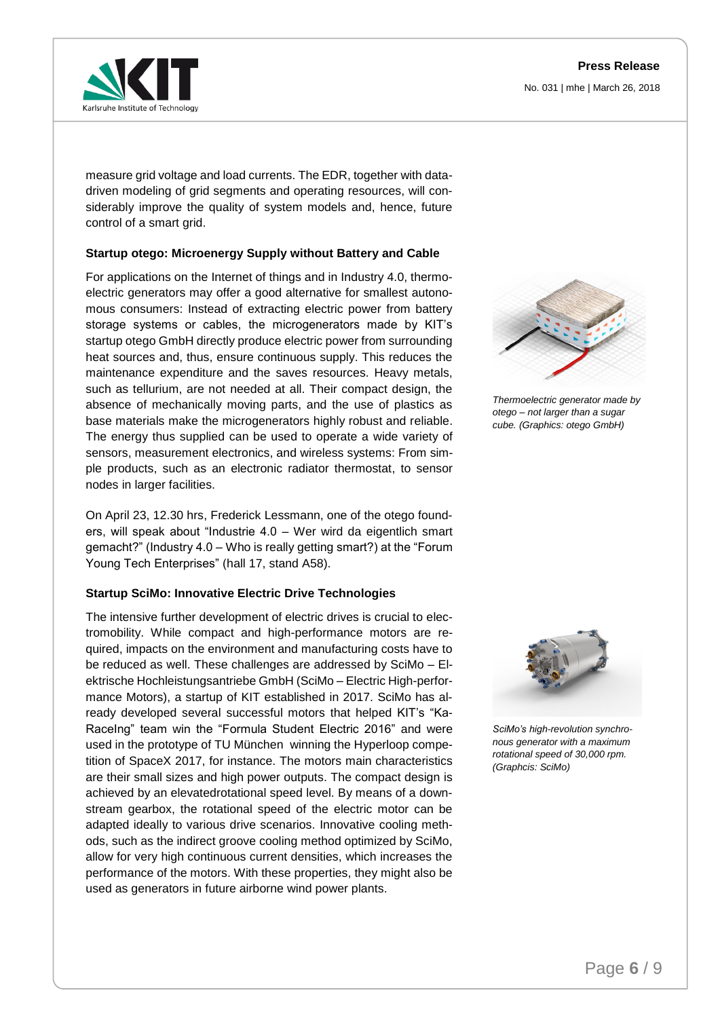No. 031 | mhe | March 26, 2018



measure grid voltage and load currents. The EDR, together with datadriven modeling of grid segments and operating resources, will considerably improve the quality of system models and, hence, future control of a smart grid.

#### **Startup otego: Microenergy Supply without Battery and Cable**

For applications on the Internet of things and in Industry 4.0, thermoelectric generators may offer a good alternative for smallest autonomous consumers: Instead of extracting electric power from battery storage systems or cables, the microgenerators made by KIT's startup otego GmbH directly produce electric power from surrounding heat sources and, thus, ensure continuous supply. This reduces the maintenance expenditure and the saves resources. Heavy metals, such as tellurium, are not needed at all. Their compact design, the absence of mechanically moving parts, and the use of plastics as base materials make the microgenerators highly robust and reliable. The energy thus supplied can be used to operate a wide variety of sensors, measurement electronics, and wireless systems: From simple products, such as an electronic radiator thermostat, to sensor nodes in larger facilities.

On April 23, 12.30 hrs, Frederick Lessmann, one of the otego founders, will speak about "Industrie 4.0 – Wer wird da eigentlich smart gemacht?" (Industry 4.0 – Who is really getting smart?) at the "Forum Young Tech Enterprises" (hall 17, stand A58).

#### **Startup SciMo: Innovative Electric Drive Technologies**

The intensive further development of electric drives is crucial to electromobility. While compact and high-performance motors are required, impacts on the environment and manufacturing costs have to be reduced as well. These challenges are addressed by SciMo – Elektrische Hochleistungsantriebe GmbH (SciMo – Electric High-performance Motors), a startup of KIT established in 2017. SciMo has already developed several successful motors that helped KIT's "Ka-RaceIng" team win the "Formula Student Electric 2016" and were used in the prototype of TU München winning the Hyperloop competition of SpaceX 2017, for instance. The motors main characteristics are their small sizes and high power outputs. The compact design is achieved by an elevatedrotational speed level. By means of a downstream gearbox, the rotational speed of the electric motor can be adapted ideally to various drive scenarios. Innovative cooling methods, such as the indirect groove cooling method optimized by SciMo, allow for very high continuous current densities, which increases the performance of the motors. With these properties, they might also be used as generators in future airborne wind power plants.



*Thermoelectric generator made by otego – not larger than a sugar cube. (Graphics: otego GmbH)*



*SciMo's high-revolution synchronous generator with a maximum rotational speed of 30,000 rpm. (Graphcis: SciMo)*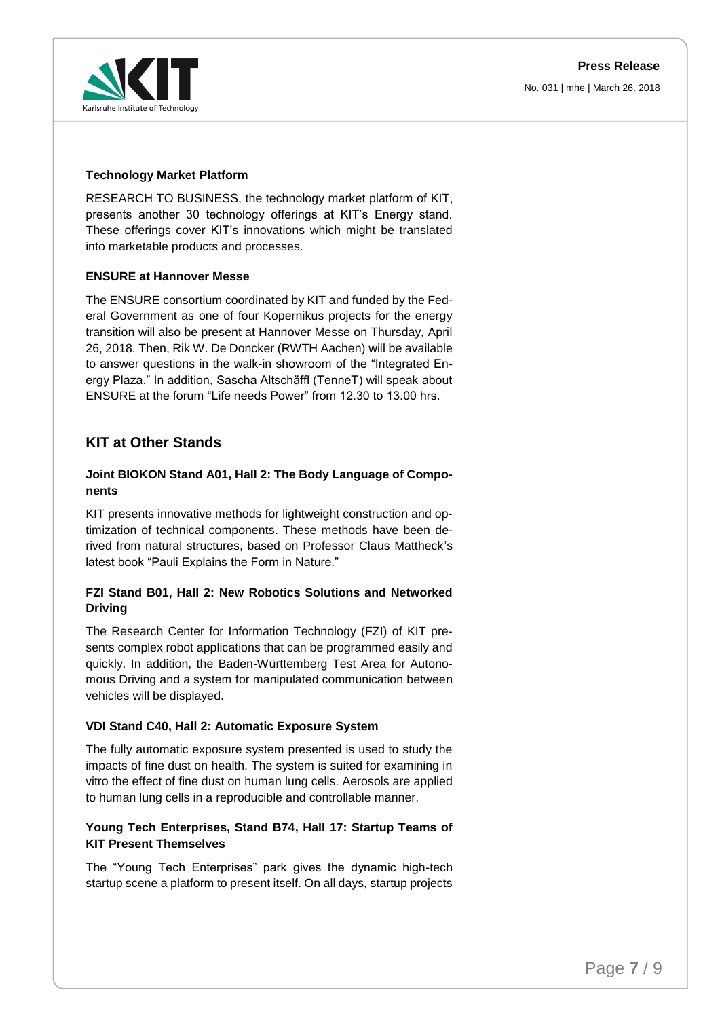#### **Technology Market Platform**

RESEARCH TO BUSINESS, the technology market platform of KIT, presents another 30 technology offerings at KIT's Energy stand. These offerings cover KIT's innovations which might be translated into marketable products and processes.

#### **ENSURE at Hannover Messe**

The ENSURE consortium coordinated by KIT and funded by the Federal Government as one of four Kopernikus projects for the energy transition will also be present at Hannover Messe on Thursday, April 26, 2018. Then, Rik W. De Doncker (RWTH Aachen) will be available to answer questions in the walk-in showroom of the "Integrated Energy Plaza." In addition, Sascha Altschäffl (TenneT) will speak about ENSURE at the forum "Life needs Power" from 12.30 to 13.00 hrs.

### **KIT at Other Stands**

#### **Joint BIOKON Stand A01, Hall 2: The Body Language of Components**

KIT presents innovative methods for lightweight construction and optimization of technical components. These methods have been derived from natural structures, based on Professor Claus Mattheck's latest book "Pauli Explains the Form in Nature."

#### **FZI Stand B01, Hall 2: New Robotics Solutions and Networked Driving**

The Research Center for Information Technology (FZI) of KIT presents complex robot applications that can be programmed easily and quickly. In addition, the Baden-Württemberg Test Area for Autonomous Driving and a system for manipulated communication between vehicles will be displayed.

#### **VDI Stand C40, Hall 2: Automatic Exposure System**

The fully automatic exposure system presented is used to study the impacts of fine dust on health. The system is suited for examining in vitro the effect of fine dust on human lung cells. Aerosols are applied to human lung cells in a reproducible and controllable manner.

#### **Young Tech Enterprises, Stand B74, Hall 17: Startup Teams of KIT Present Themselves**

The "Young Tech Enterprises" park gives the dynamic high-tech startup scene a platform to present itself. On all days, startup projects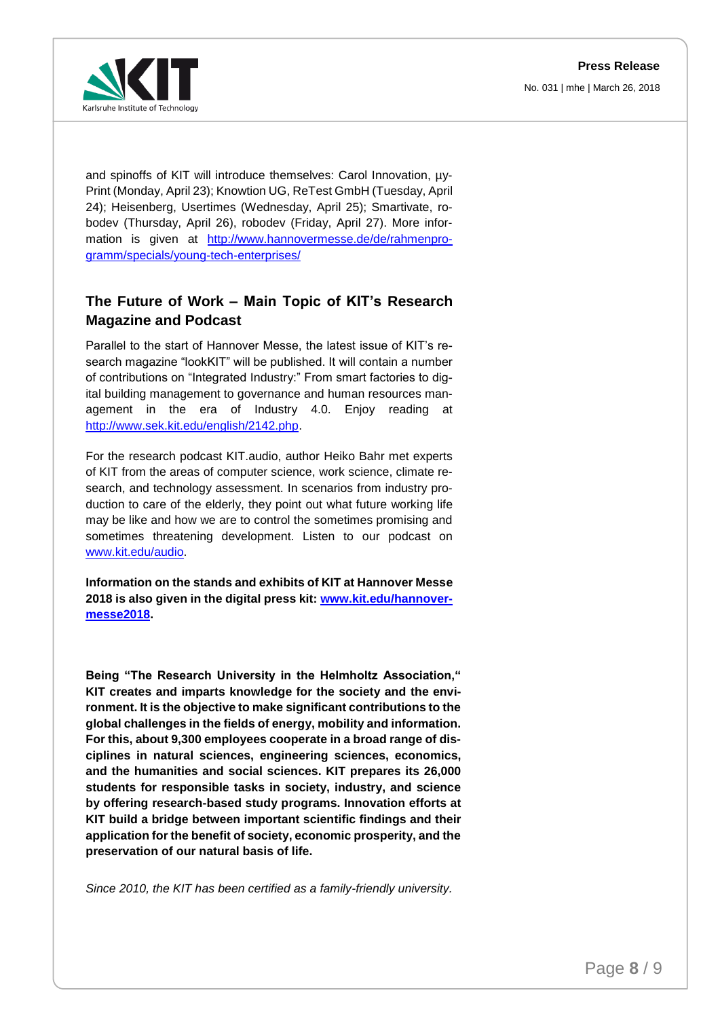**Press Release** No. 031 | mhe | March 26, 2018



and spinoffs of KIT will introduce themselves: Carol Innovation,  $\mu$ y-Print (Monday, April 23); Knowtion UG, ReTest GmbH (Tuesday, April 24); Heisenberg, Usertimes (Wednesday, April 25); Smartivate, robodev (Thursday, April 26), robodev (Friday, April 27). More information is given at [http://www.hannovermesse.de/de/rahmenpro](http://www.hannovermesse.de/de/rahmenprogramm/specials/young-tech-enterprises/)[gramm/specials/young-tech-enterprises/](http://www.hannovermesse.de/de/rahmenprogramm/specials/young-tech-enterprises/)

## **The Future of Work – Main Topic of KIT's Research Magazine and Podcast**

Parallel to the start of Hannover Messe, the latest issue of KIT's research magazine "lookKIT" will be published. It will contain a number of contributions on "Integrated Industry:" From smart factories to digital building management to governance and human resources management in the era of Industry 4.0. Enjoy reading at [http://www.sek.kit.edu/english/2142.php.](http://www.sek.kit.edu/english/2142.php)

For the research podcast KIT.audio, author Heiko Bahr met experts of KIT from the areas of computer science, work science, climate research, and technology assessment. In scenarios from industry production to care of the elderly, they point out what future working life may be like and how we are to control the sometimes promising and sometimes threatening development. Listen to our podcast on [www.kit.edu/audio.](http://www.kit.edu/audio)

**Information on the stands and exhibits of KIT at Hannover Messe 2018 is also given in the digital press kit: [www.kit.edu/hannover](http://www.kit.edu/hannovermesse2018)[messe2018.](http://www.kit.edu/hannovermesse2018)**

**Being "The Research University in the Helmholtz Association," KIT creates and imparts knowledge for the society and the environment. It is the objective to make significant contributions to the global challenges in the fields of energy, mobility and information. For this, about 9,300 employees cooperate in a broad range of disciplines in natural sciences, engineering sciences, economics, and the humanities and social sciences. KIT prepares its 26,000 students for responsible tasks in society, industry, and science by offering research-based study programs. Innovation efforts at KIT build a bridge between important scientific findings and their application for the benefit of society, economic prosperity, and the preservation of our natural basis of life.**

*Since 2010, the KIT has been certified as a family-friendly university.*